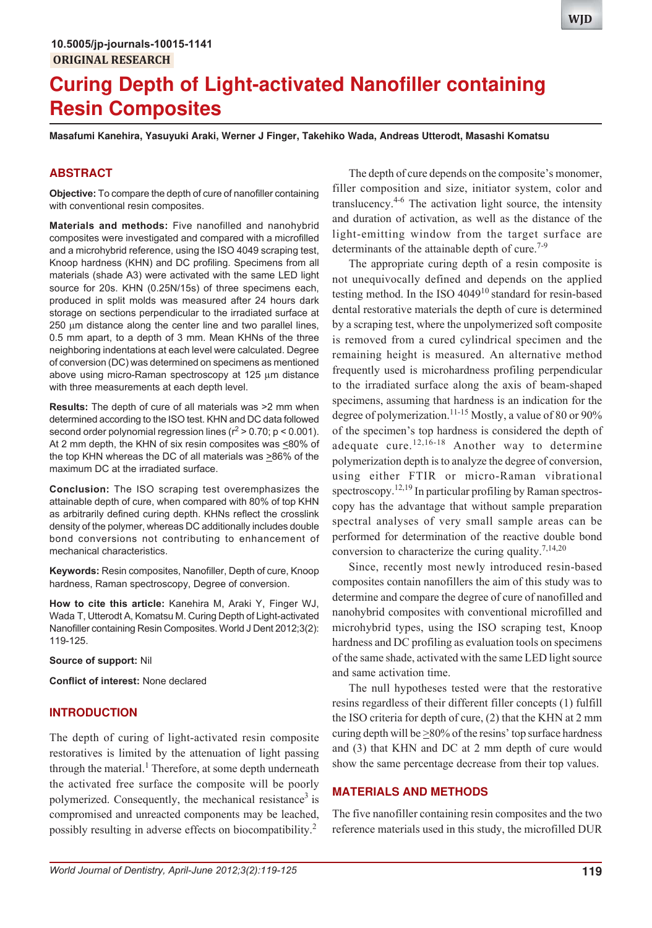# **Curing Depth of Light-activated Nanofiller containing Resin Composites**

**Masafumi Kanehira, Yasuyuki Araki, Werner J Finger, Takehiko Wada, Andreas Utterodt, Masashi Komatsu**

## **ABSTRACT**

**Objective:** To compare the depth of cure of nanofiller containing with conventional resin composites.

**Materials and methods:** Five nanofilled and nanohybrid composites were investigated and compared with a microfilled and a microhybrid reference, using the ISO 4049 scraping test, Knoop hardness (KHN) and DC profiling. Specimens from all materials (shade A3) were activated with the same LED light source for 20s. KHN (0.25N/15s) of three specimens each, produced in split molds was measured after 24 hours dark storage on sections perpendicular to the irradiated surface at 250 um distance along the center line and two parallel lines, 0.5 mm apart, to a depth of 3 mm. Mean KHNs of the three neighboring indentations at each level were calculated. Degree of conversion (DC) was determined on specimens as mentioned above using micro-Raman spectroscopy at  $125 \mu m$  distance with three measurements at each depth level.

**Results:** The depth of cure of all materials was >2 mm when determined according to the ISO test. KHN and DC data followed second order polynomial regression lines ( $r^2 > 0.70$ ; p < 0.001). At 2 mm depth, the KHN of six resin composites was  $\leq$ 80% of the top KHN whereas the DC of all materials was  $\geq$ 86% of the maximum DC at the irradiated surface.

**Conclusion:** The ISO scraping test overemphasizes the attainable depth of cure, when compared with 80% of top KHN as arbitrarily defined curing depth. KHNs reflect the crosslink density of the polymer, whereas DC additionally includes double bond conversions not contributing to enhancement of mechanical characteristics.

**Keywords:** Resin composites, Nanofiller, Depth of cure, Knoop hardness, Raman spectroscopy, Degree of conversion.

**How to cite this article:** Kanehira M, Araki Y, Finger WJ, Wada T, Utterodt A, Komatsu M. Curing Depth of Light-activated Nanofiller containing Resin Composites. World J Dent 2012;3(2): 119-125.

**Source of support:** Nil

**Conflict of interest:** None declared

## **INTRODUCTION**

The depth of curing of light-activated resin composite restoratives is limited by the attenuation of light passing through the material.<sup>1</sup> Therefore, at some depth underneath the activated free surface the composite will be poorly polymerized. Consequently, the mechanical resistance<sup>3</sup> is compromised and unreacted components may be leached, possibly resulting in adverse effects on biocompatibility.<sup>2</sup>

The depth of cure depends on the composite's monomer, filler composition and size, initiator system, color and translucency.4-6 The activation light source, the intensity and duration of activation, as well as the distance of the light-emitting window from the target surface are determinants of the attainable depth of cure.<sup>7-9</sup>

The appropriate curing depth of a resin composite is not unequivocally defined and depends on the applied testing method. In the ISO  $4049^{10}$  standard for resin-based dental restorative materials the depth of cure is determined by a scraping test, where the unpolymerized soft composite is removed from a cured cylindrical specimen and the remaining height is measured. An alternative method frequently used is microhardness profiling perpendicular to the irradiated surface along the axis of beam-shaped specimens, assuming that hardness is an indication for the degree of polymerization.<sup>11-15</sup> Mostly, a value of 80 or 90% of the specimen's top hardness is considered the depth of adequate cure.<sup>12,16-18</sup> Another way to determine polymerization depth is to analyze the degree of conversion, using either FTIR or micro-Raman vibrational spectroscopy.<sup>12,19</sup> In particular profiling by Raman spectroscopy has the advantage that without sample preparation spectral analyses of very small sample areas can be performed for determination of the reactive double bond conversion to characterize the curing quality.<sup>7,14,20</sup>

Since, recently most newly introduced resin-based composites contain nanofillers the aim of this study was to determine and compare the degree of cure of nanofilled and nanohybrid composites with conventional microfilled and microhybrid types, using the ISO scraping test, Knoop hardness and DC profiling as evaluation tools on specimens of the same shade, activated with the same LED light source and same activation time.

The null hypotheses tested were that the restorative resins regardless of their different filler concepts (1) fulfill the ISO criteria for depth of cure, (2) that the KHN at 2 mm curing depth will be  $\geq$ 80% of the resins' top surface hardness and (3) that KHN and DC at 2 mm depth of cure would show the same percentage decrease from their top values.

## **MATERIALS AND METHODS**

The five nanofiller containing resin composites and the two reference materials used in this study, the microfilled DUR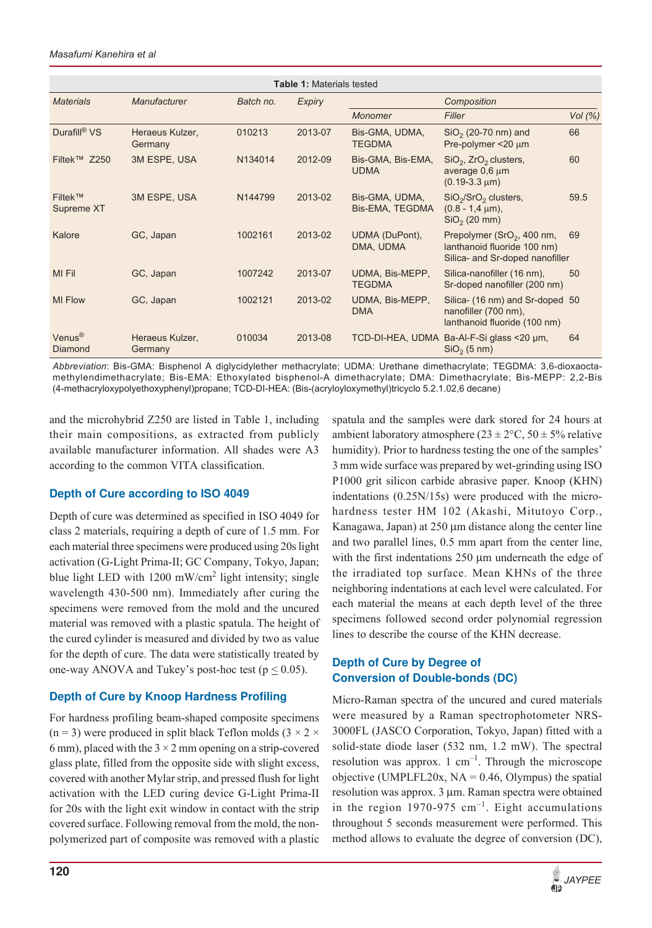| <b>Table 1: Materials tested</b> |                            |           |               |                                   |                                                                                               |           |  |  |
|----------------------------------|----------------------------|-----------|---------------|-----------------------------------|-----------------------------------------------------------------------------------------------|-----------|--|--|
| <b>Materials</b>                 | <b>Manufacturer</b>        | Batch no. | <b>Expiry</b> | Composition                       |                                                                                               |           |  |  |
|                                  |                            |           |               | Monomer                           | Filler                                                                                        | Vol $(%)$ |  |  |
| Durafill® VS                     | Heraeus Kulzer,<br>Germany | 010213    | 2013-07       | Bis-GMA, UDMA,<br><b>TEGDMA</b>   | $SiO2$ (20-70 nm) and<br>Pre-polymer $<$ 20 $\mu$ m                                           | 66        |  |  |
| Filtek™ Z250                     | 3M ESPE, USA               | N134014   | 2012-09       | Bis-GMA, Bis-EMA,<br><b>UDMA</b>  | $SiO2$ , ZrO <sub>2</sub> clusters,<br>average 0,6 µm<br>$(0.19-3.3 \,\mu m)$                 | 60        |  |  |
| <b>Filtek™</b><br>Supreme XT     | 3M ESPE, USA               | N144799   | 2013-02       | Bis-GMA, UDMA,<br>Bis-EMA, TEGDMA | $SiO2/SrO2 clusters,$<br>$(0.8 - 1.4 \text{ µm})$ .<br>$SiO2$ (20 mm)                         | 59.5      |  |  |
| Kalore                           | GC, Japan                  | 1002161   | 2013-02       | UDMA (DuPont),<br>DMA, UDMA       | Prepolymer $(SrO2, 400 nm,$<br>lanthanoid fluoride 100 nm)<br>Silica- and Sr-doped nanofiller | 69        |  |  |
| MI Fil                           | GC, Japan                  | 1007242   | 2013-07       | UDMA, Bis-MEPP,<br><b>TEGDMA</b>  | Silica-nanofiller (16 nm),<br>Sr-doped nanofiller (200 nm)                                    | 50        |  |  |
| <b>MI Flow</b>                   | GC, Japan                  | 1002121   | 2013-02       | UDMA, Bis-MEPP,<br><b>DMA</b>     | Silica- (16 nm) and Sr-doped 50<br>nanofiller (700 nm),<br>lanthanoid fluoride (100 nm)       |           |  |  |
| Venus <sup>®</sup><br>Diamond    | Heraeus Kulzer,<br>Germany | 010034    | 2013-08       |                                   | TCD-DI-HEA, UDMA Ba-AI-F-Si glass <20 um,<br>$SiO2$ (5 nm)                                    | 64        |  |  |

*Abbreviation*: Bis-GMA: Bisphenol A diglycidylether methacrylate; UDMA: Urethane dimethacrylate; TEGDMA: 3,6-dioxaoctamethylendimethacrylate; Bis-EMA: Ethoxylated bisphenol-A dimethacrylate; DMA: Dimethacrylate; Bis-MEPP: 2,2-Bis (4-methacryloxypolyethoxyphenyl)propane; TCD-DI-HEA: (Bis-(acryloyloxymethyl)tricyclo 5.2.1.02,6 decane)

and the microhybrid Z250 are listed in Table 1, including their main compositions, as extracted from publicly available manufacturer information. All shades were A3 according to the common VITA classification.

# **Depth of Cure according to ISO 4049**

Depth of cure was determined as specified in ISO 4049 for class 2 materials, requiring a depth of cure of 1.5 mm. For each material three specimens were produced using 20s light activation (G-Light Prima-II; GC Company, Tokyo, Japan; blue light LED with 1200 mW/cm<sup>2</sup> light intensity; single wavelength 430-500 nm). Immediately after curing the specimens were removed from the mold and the uncured material was removed with a plastic spatula. The height of the cured cylinder is measured and divided by two as value for the depth of cure. The data were statistically treated by one-way ANOVA and Tukey's post-hoc test ( $p \le 0.05$ ).

# **Depth of Cure by Knoop Hardness Profiling**

For hardness profiling beam-shaped composite specimens (n = 3) were produced in split black Teflon molds (3  $\times$  2  $\times$ 6 mm), placed with the  $3 \times 2$  mm opening on a strip-covered glass plate, filled from the opposite side with slight excess, covered with another Mylar strip, and pressed flush for light activation with the LED curing device G-Light Prima-II for 20s with the light exit window in contact with the strip covered surface. Following removal from the mold, the nonpolymerized part of composite was removed with a plastic

spatula and the samples were dark stored for 24 hours at ambient laboratory atmosphere  $(23 \pm 2^{\circ}\text{C}, 50 \pm 5\%$  relative humidity). Prior to hardness testing the one of the samples' 3 mm wide surface was prepared by wet-grinding using ISO P1000 grit silicon carbide abrasive paper. Knoop (KHN) indentations (0.25N/15s) were produced with the microhardness tester HM 102 (Akashi, Mitutoyo Corp., Kanagawa, Japan) at  $250 \mu m$  distance along the center line and two parallel lines, 0.5 mm apart from the center line, with the first indentations  $250 \mu m$  underneath the edge of the irradiated top surface. Mean KHNs of the three neighboring indentations at each level were calculated. For each material the means at each depth level of the three specimens followed second order polynomial regression lines to describe the course of the KHN decrease.

# **Depth of Cure by Degree of Conversion of Double-bonds (DC)**

Micro-Raman spectra of the uncured and cured materials were measured by a Raman spectrophotometer NRS-3000FL (JASCO Corporation, Tokyo, Japan) fitted with a solid-state diode laser (532 nm, 1.2 mW). The spectral resolution was approx. 1  $cm^{-1}$ . Through the microscope objective (UMPLFL20x,  $NA = 0.46$ , Olympus) the spatial resolution was approx. 3 µm. Raman spectra were obtained in the region 1970-975  $cm^{-1}$ . Eight accumulations throughout 5 seconds measurement were performed. This method allows to evaluate the degree of conversion (DC),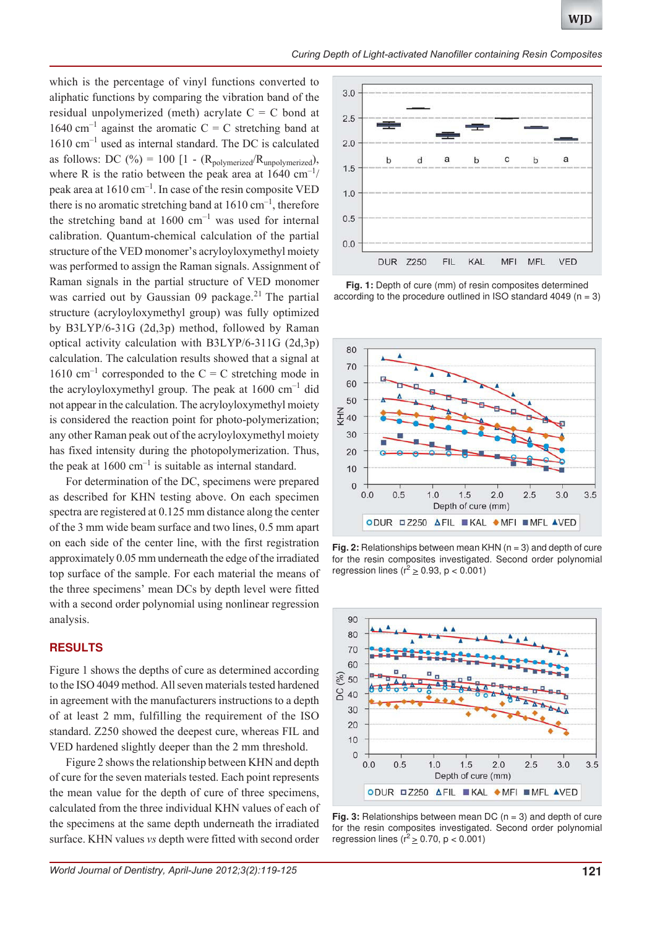which is the percentage of vinyl functions converted to aliphatic functions by comparing the vibration band of the residual unpolymerized (meth) acrylate  $C = C$  bond at 1640 cm<sup>-1</sup> against the aromatic  $C = C$  stretching band at 1610 cm–1 used as internal standard. The DC is calculated as follows: DC (%) = 100 [1 - ( $R_{\text{polymerized}}/R_{\text{unpolymerized}}$ ), where R is the ratio between the peak area at  $1640 \text{ cm}^{-1}$ / peak area at  $1610 \text{ cm}^{-1}$ . In case of the resin composite VED there is no aromatic stretching band at  $1610 \text{ cm}^{-1}$ , therefore the stretching band at  $1600 \text{ cm}^{-1}$  was used for internal calibration. Quantum-chemical calculation of the partial structure of the VED monomer's acryloyloxymethyl moiety was performed to assign the Raman signals. Assignment of Raman signals in the partial structure of VED monomer was carried out by Gaussian 09 package.<sup>21</sup> The partial structure (acryloyloxymethyl group) was fully optimized by B3LYP/6-31G (2d,3p) method, followed by Raman optical activity calculation with B3LYP/6-311G (2d,3p) calculation. The calculation results showed that a signal at 1610 cm<sup>-1</sup> corresponded to the C = C stretching mode in the acryloyloxymethyl group. The peak at  $1600 \text{ cm}^{-1}$  did not appear in the calculation. The acryloyloxymethyl moiety is considered the reaction point for photo-polymerization; any other Raman peak out of the acryloyloxymethyl moiety has fixed intensity during the photopolymerization. Thus, the peak at  $1600 \text{ cm}^{-1}$  is suitable as internal standard.

For determination of the DC, specimens were prepared as described for KHN testing above. On each specimen spectra are registered at 0.125 mm distance along the center of the 3 mm wide beam surface and two lines, 0.5 mm apart on each side of the center line, with the first registration approximately 0.05 mm underneath the edge of the irradiated top surface of the sample. For each material the means of the three specimens' mean DCs by depth level were fitted with a second order polynomial using nonlinear regression analysis.

## **RESULTS**

Figure 1 shows the depths of cure as determined according to the ISO 4049 method. All seven materials tested hardened in agreement with the manufacturers instructions to a depth of at least 2 mm, fulfilling the requirement of the ISO standard. Z250 showed the deepest cure, whereas FIL and VED hardened slightly deeper than the 2 mm threshold.

Figure 2 shows the relationship between KHN and depth of cure for the seven materials tested. Each point represents the mean value for the depth of cure of three specimens, calculated from the three individual KHN values of each of the specimens at the same depth underneath the irradiated surface. KHN values *vs* depth were fitted with second order



**Fig. 1:** Depth of cure (mm) of resin composites determined according to the procedure outlined in ISO standard 4049 ( $n = 3$ )



**Fig. 2:** Relationships between mean KHN (n = 3) and depth of cure for the resin composites investigated. Second order polynomial regression lines ( $r^2 \ge 0.93$ , p < 0.001)



**Fig. 3:** Relationships between mean DC (n = 3) and depth of cure for the resin composites investigated. Second order polynomial regression lines ( $r^2 \ge 0.70$ , p < 0.001)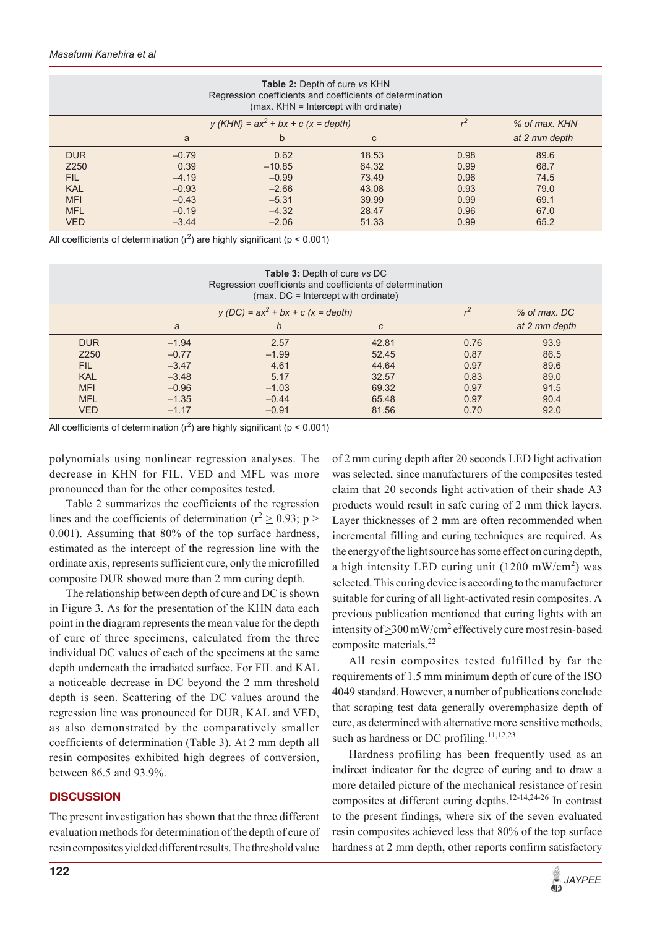| <b>Table 2: Depth of cure vs KHN</b><br>Regression coefficients and coefficients of determination<br>(max. KHN = Intercept with ordinate) |         |                                       |                |               |               |  |
|-------------------------------------------------------------------------------------------------------------------------------------------|---------|---------------------------------------|----------------|---------------|---------------|--|
|                                                                                                                                           |         | $y (KHN) = ax^2 + bx + c (x = depth)$ | r <sup>2</sup> | % of max, KHN |               |  |
|                                                                                                                                           | a       | b                                     | C              |               | at 2 mm depth |  |
| <b>DUR</b>                                                                                                                                | $-0.79$ | 0.62                                  | 18.53          | 0.98          | 89.6          |  |
| Z250                                                                                                                                      | 0.39    | $-10.85$                              | 64.32          | 0.99          | 68.7          |  |
| FIL.                                                                                                                                      | $-4.19$ | $-0.99$                               | 73.49          | 0.96          | 74.5          |  |
| <b>KAL</b>                                                                                                                                | $-0.93$ | $-2.66$                               | 43.08          | 0.93          | 79.0          |  |
| <b>MFI</b>                                                                                                                                | $-0.43$ | $-5.31$                               | 39.99          | 0.99          | 69.1          |  |
| <b>MFL</b>                                                                                                                                | $-0.19$ | $-4.32$                               | 28.47          | 0.96          | 67.0          |  |
| <b>VED</b>                                                                                                                                | $-3.44$ | $-2.06$                               | 51.33          | 0.99          | 65.2          |  |

All coefficients of determination ( $r^2$ ) are highly significant ( $p < 0.001$ )

| <b>Table 3: Depth of cure vs DC</b><br>Regression coefficients and coefficients of determination<br>$(max. DC = Intercept with ordinate)$ |         |                                    |               |      |                |  |
|-------------------------------------------------------------------------------------------------------------------------------------------|---------|------------------------------------|---------------|------|----------------|--|
|                                                                                                                                           |         | $y(DC) = ax^2 + bx + c(x = depth)$ |               |      | $%$ of max, DC |  |
|                                                                                                                                           | a       | b                                  | $\mathcal{C}$ |      | at 2 mm depth  |  |
| <b>DUR</b>                                                                                                                                | $-1.94$ | 2.57                               | 42.81         | 0.76 | 93.9           |  |
| Z250                                                                                                                                      | $-0.77$ | $-1.99$                            | 52.45         | 0.87 | 86.5           |  |
| <b>FIL</b>                                                                                                                                | $-3.47$ | 4.61                               | 44.64         | 0.97 | 89.6           |  |
| <b>KAL</b>                                                                                                                                | $-3.48$ | 5.17                               | 32.57         | 0.83 | 89.0           |  |
| <b>MFI</b>                                                                                                                                | $-0.96$ | $-1.03$                            | 69.32         | 0.97 | 91.5           |  |
| <b>MFL</b>                                                                                                                                | $-1.35$ | $-0.44$                            | 65.48         | 0.97 | 90.4           |  |
| <b>VED</b>                                                                                                                                | $-1.17$ | $-0.91$                            | 81.56         | 0.70 | 92.0           |  |

All coefficients of determination ( $r^2$ ) are highly significant ( $p < 0.001$ )

polynomials using nonlinear regression analyses. The decrease in KHN for FIL, VED and MFL was more pronounced than for the other composites tested.

Table 2 summarizes the coefficients of the regression lines and the coefficients of determination ( $r^2 \ge 0.93$ ; p > 0.001). Assuming that 80% of the top surface hardness, estimated as the intercept of the regression line with the ordinate axis, represents sufficient cure, only the microfilled composite DUR showed more than 2 mm curing depth.

The relationship between depth of cure and DC is shown in Figure 3. As for the presentation of the KHN data each point in the diagram represents the mean value for the depth of cure of three specimens, calculated from the three individual DC values of each of the specimens at the same depth underneath the irradiated surface. For FIL and KAL a noticeable decrease in DC beyond the 2 mm threshold depth is seen. Scattering of the DC values around the regression line was pronounced for DUR, KAL and VED, as also demonstrated by the comparatively smaller coefficients of determination (Table 3). At 2 mm depth all resin composites exhibited high degrees of conversion, between 86.5 and 93.9%.

## **DISCUSSION**

The present investigation has shown that the three different evaluation methods for determination of the depth of cure of resin composites yielded different results. The threshold value

of 2 mm curing depth after 20 seconds LED light activation was selected, since manufacturers of the composites tested claim that 20 seconds light activation of their shade A3 products would result in safe curing of 2 mm thick layers. Layer thicknesses of 2 mm are often recommended when incremental filling and curing techniques are required. As the energy of the light source has some effect on curing depth, a high intensity LED curing unit  $(1200 \text{ mW/cm}^2)$  was selected. This curing device is according to the manufacturer suitable for curing of all light-activated resin composites. A previous publication mentioned that curing lights with an intensity of  $\geq$ 300 mW/cm<sup>2</sup> effectively cure most resin-based composite materials.<sup>22</sup>

All resin composites tested fulfilled by far the requirements of 1.5 mm minimum depth of cure of the ISO 4049 standard. However, a number of publications conclude that scraping test data generally overemphasize depth of cure, as determined with alternative more sensitive methods, such as hardness or DC profiling.<sup>11,12,23</sup>

Hardness profiling has been frequently used as an indirect indicator for the degree of curing and to draw a more detailed picture of the mechanical resistance of resin composites at different curing depths.12-14,24-26 In contrast to the present findings, where six of the seven evaluated resin composites achieved less that 80% of the top surface hardness at 2 mm depth, other reports confirm satisfactory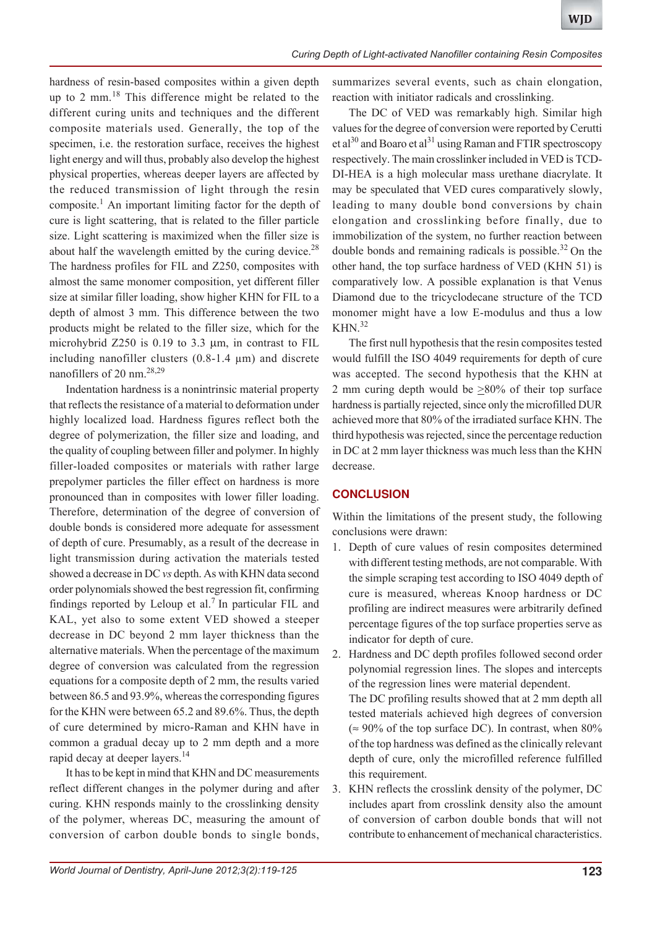hardness of resin-based composites within a given depth up to 2 mm.18 This difference might be related to the different curing units and techniques and the different composite materials used. Generally, the top of the specimen, i.e. the restoration surface, receives the highest light energy and will thus, probably also develop the highest physical properties, whereas deeper layers are affected by the reduced transmission of light through the resin composite.<sup>1</sup> An important limiting factor for the depth of cure is light scattering, that is related to the filler particle size. Light scattering is maximized when the filler size is about half the wavelength emitted by the curing device. $^{28}$ The hardness profiles for FIL and Z250, composites with almost the same monomer composition, yet different filler size at similar filler loading, show higher KHN for FIL to a depth of almost 3 mm. This difference between the two products might be related to the filler size, which for the microhybrid  $Z250$  is 0.19 to 3.3  $\mu$ m, in contrast to FIL including nanofiller clusters (0.8-1.4 μm) and discrete nanofillers of 20 nm.28,29

Indentation hardness is a nonintrinsic material property that reflects the resistance of a material to deformation under highly localized load. Hardness figures reflect both the degree of polymerization, the filler size and loading, and the quality of coupling between filler and polymer. In highly filler-loaded composites or materials with rather large prepolymer particles the filler effect on hardness is more pronounced than in composites with lower filler loading. Therefore, determination of the degree of conversion of double bonds is considered more adequate for assessment of depth of cure. Presumably, as a result of the decrease in light transmission during activation the materials tested showed a decrease in DC *vs* depth. As with KHN data second order polynomials showed the best regression fit, confirming findings reported by Leloup et al.<sup>7</sup> In particular FIL and KAL, yet also to some extent VED showed a steeper decrease in DC beyond 2 mm layer thickness than the alternative materials. When the percentage of the maximum degree of conversion was calculated from the regression equations for a composite depth of 2 mm, the results varied between 86.5 and 93.9%, whereas the corresponding figures for the KHN were between 65.2 and 89.6%. Thus, the depth of cure determined by micro-Raman and KHN have in common a gradual decay up to 2 mm depth and a more rapid decay at deeper layers.<sup>14</sup>

It has to be kept in mind that KHN and DC measurements reflect different changes in the polymer during and after curing. KHN responds mainly to the crosslinking density of the polymer, whereas DC, measuring the amount of conversion of carbon double bonds to single bonds,

summarizes several events, such as chain elongation, reaction with initiator radicals and crosslinking.

The DC of VED was remarkably high. Similar high values for the degree of conversion were reported by Cerutti et al<sup>30</sup> and Boaro et al<sup>31</sup> using Raman and FTIR spectroscopy respectively. The main crosslinker included in VED is TCD-DI-HEA is a high molecular mass urethane diacrylate. It may be speculated that VED cures comparatively slowly, leading to many double bond conversions by chain elongation and crosslinking before finally, due to immobilization of the system, no further reaction between double bonds and remaining radicals is possible.<sup>32</sup> On the other hand, the top surface hardness of VED (KHN 51) is comparatively low. A possible explanation is that Venus Diamond due to the tricyclodecane structure of the TCD monomer might have a low E-modulus and thus a low  $KHN.<sup>32</sup>$ 

The first null hypothesis that the resin composites tested would fulfill the ISO 4049 requirements for depth of cure was accepted. The second hypothesis that the KHN at 2 mm curing depth would be  $\geq 80\%$  of their top surface hardness is partially rejected, since only the microfilled DUR achieved more that 80% of the irradiated surface KHN. The third hypothesis was rejected, since the percentage reduction in DC at 2 mm layer thickness was much less than the KHN decrease.

# **CONCLUSION**

Within the limitations of the present study, the following conclusions were drawn:

- 1. Depth of cure values of resin composites determined with different testing methods, are not comparable. With the simple scraping test according to ISO 4049 depth of cure is measured, whereas Knoop hardness or DC profiling are indirect measures were arbitrarily defined percentage figures of the top surface properties serve as indicator for depth of cure.
- 2. Hardness and DC depth profiles followed second order polynomial regression lines. The slopes and intercepts of the regression lines were material dependent. The DC profiling results showed that at 2 mm depth all tested materials achieved high degrees of conversion ( $\approx 90\%$  of the top surface DC). In contrast, when 80% of the top hardness was defined as the clinically relevant depth of cure, only the microfilled reference fulfilled this requirement.
- 3. KHN reflects the crosslink density of the polymer, DC includes apart from crosslink density also the amount of conversion of carbon double bonds that will not contribute to enhancement of mechanical characteristics.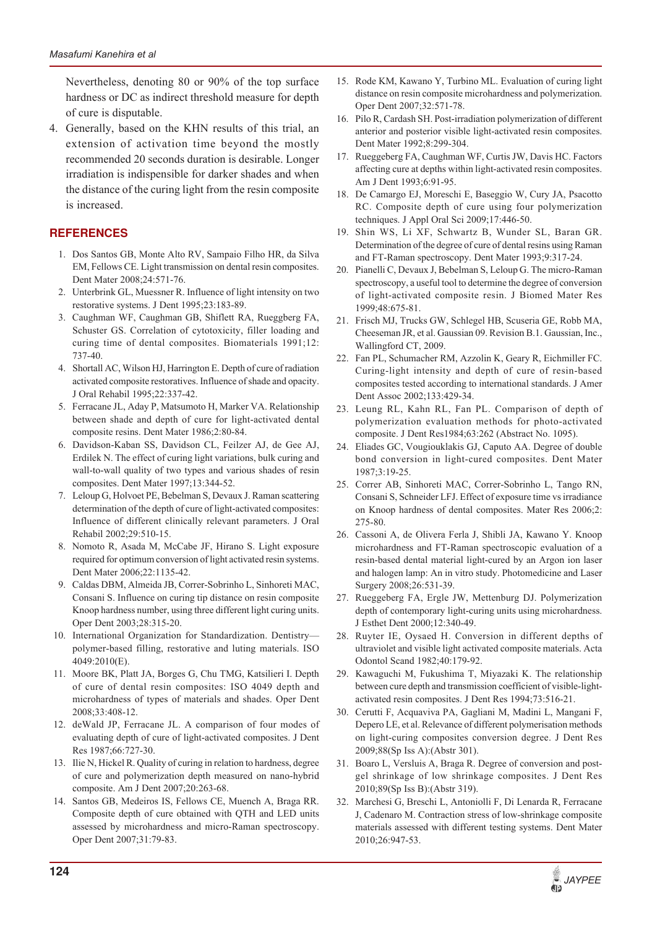Nevertheless, denoting 80 or 90% of the top surface hardness or DC as indirect threshold measure for depth of cure is disputable.

4. Generally, based on the KHN results of this trial, an extension of activation time beyond the mostly recommended 20 seconds duration is desirable. Longer irradiation is indispensible for darker shades and when the distance of the curing light from the resin composite is increased.

# **REFERENCES**

- 1. Dos Santos GB, Monte Alto RV, Sampaio Filho HR, da Silva EM, Fellows CE. Light transmission on dental resin composites. Dent Mater 2008;24:571-76.
- 2. Unterbrink GL, Muessner R. Influence of light intensity on two restorative systems. J Dent 1995;23:183-89.
- 3. Caughman WF, Caughman GB, Shiflett RA, Rueggberg FA, Schuster GS. Correlation of cytotoxicity, filler loading and curing time of dental composites. Biomaterials 1991;12: 737-40.
- 4. Shortall AC, Wilson HJ, Harrington E. Depth of cure of radiation activated composite restoratives. Influence of shade and opacity. J Oral Rehabil 1995;22:337-42.
- 5. Ferracane JL, Aday P, Matsumoto H, Marker VA. Relationship between shade and depth of cure for light-activated dental composite resins. Dent Mater 1986;2:80-84.
- 6. Davidson-Kaban SS, Davidson CL, Feilzer AJ, de Gee AJ, Erdilek N. The effect of curing light variations, bulk curing and wall-to-wall quality of two types and various shades of resin composites. Dent Mater 1997;13:344-52.
- 7. Leloup G, Holvoet PE, Bebelman S, Devaux J. Raman scattering determination of the depth of cure of light-activated composites: Influence of different clinically relevant parameters. J Oral Rehabil 2002;29:510-15.
- 8. Nomoto R, Asada M, McCabe JF, Hirano S. Light exposure required for optimum conversion of light activated resin systems. Dent Mater 2006;22:1135-42.
- 9. Caldas DBM, Almeida JB, Correr-Sobrinho L, Sinhoreti MAC, Consani S. Influence on curing tip distance on resin composite Knoop hardness number, using three different light curing units. Oper Dent 2003;28:315-20.
- 10. International Organization for Standardization. Dentistry polymer-based filling, restorative and luting materials. ISO 4049:2010(E).
- 11. Moore BK, Platt JA, Borges G, Chu TMG, Katsilieri I. Depth of cure of dental resin composites: ISO 4049 depth and microhardness of types of materials and shades. Oper Dent 2008;33:408-12.
- 12. deWald JP, Ferracane JL. A comparison of four modes of evaluating depth of cure of light-activated composites. J Dent Res 1987;66:727-30.
- 13. Ilie N, Hickel R. Quality of curing in relation to hardness, degree of cure and polymerization depth measured on nano-hybrid composite. Am J Dent 2007;20:263-68.
- 14. Santos GB, Medeiros IS, Fellows CE, Muench A, Braga RR. Composite depth of cure obtained with QTH and LED units assessed by microhardness and micro-Raman spectroscopy. Oper Dent 2007;31:79-83.
- 15. Rode KM, Kawano Y, Turbino ML. Evaluation of curing light distance on resin composite microhardness and polymerization. Oper Dent 2007;32:571-78.
- 16. Pilo R, Cardash SH. Post-irradiation polymerization of different anterior and posterior visible light-activated resin composites. Dent Mater 1992;8:299-304.
- 17. Rueggeberg FA, Caughman WF, Curtis JW, Davis HC. Factors affecting cure at depths within light-activated resin composites. Am J Dent 1993;6:91-95.
- 18. De Camargo EJ, Moreschi E, Baseggio W, Cury JA, Psacotto RC. Composite depth of cure using four polymerization techniques. J Appl Oral Sci 2009;17:446-50.
- 19. Shin WS, Li XF, Schwartz B, Wunder SL, Baran GR. Determination of the degree of cure of dental resins using Raman and FT-Raman spectroscopy. Dent Mater 1993;9:317-24.
- 20. Pianelli C, Devaux J, Bebelman S, Leloup G. The micro-Raman spectroscopy, a useful tool to determine the degree of conversion of light-activated composite resin. J Biomed Mater Res 1999;48:675-81.
- 21. Frisch MJ, Trucks GW, Schlegel HB, Scuseria GE, Robb MA, Cheeseman JR, et al. Gaussian 09. Revision B.1. Gaussian, Inc., Wallingford CT, 2009.
- 22. Fan PL, Schumacher RM, Azzolin K, Geary R, Eichmiller FC. Curing-light intensity and depth of cure of resin-based composites tested according to international standards. J Amer Dent Assoc 2002;133:429-34.
- 23. Leung RL, Kahn RL, Fan PL. Comparison of depth of polymerization evaluation methods for photo-activated composite. J Dent Res1984;63:262 (Abstract No. 1095).
- 24. Eliades GC, Vougiouklakis GJ, Caputo AA. Degree of double bond conversion in light-cured composites. Dent Mater 1987;3:19-25.
- 25. Correr AB, Sinhoreti MAC, Correr-Sobrinho L, Tango RN, Consani S, Schneider LFJ. Effect of exposure time vs irradiance on Knoop hardness of dental composites. Mater Res 2006;2: 275-80.
- 26. Cassoni A, de Olivera Ferla J, Shibli JA, Kawano Y. Knoop microhardness and FT-Raman spectroscopic evaluation of a resin-based dental material light-cured by an Argon ion laser and halogen lamp: An in vitro study. Photomedicine and Laser Surgery 2008;26:531-39.
- 27. Rueggeberg FA, Ergle JW, Mettenburg DJ. Polymerization depth of contemporary light-curing units using microhardness. J Esthet Dent 2000;12:340-49.
- 28. Ruyter IE, Oysaed H. Conversion in different depths of ultraviolet and visible light activated composite materials. Acta Odontol Scand 1982;40:179-92.
- 29. Kawaguchi M, Fukushima T, Miyazaki K. The relationship between cure depth and transmission coefficient of visible-lightactivated resin composites. J Dent Res 1994;73:516-21.
- 30. Cerutti F, Acquaviva PA, Gagliani M, Madini L, Mangani F, Depero LE, et al. Relevance of different polymerisation methods on light-curing composites conversion degree. J Dent Res 2009;88(Sp Iss A):(Abstr 301).
- 31. Boaro L, Versluis A, Braga R. Degree of conversion and postgel shrinkage of low shrinkage composites. J Dent Res 2010;89(Sp Iss B):(Abstr 319).
- 32. Marchesi G, Breschi L, Antoniolli F, Di Lenarda R, Ferracane J, Cadenaro M. Contraction stress of low-shrinkage composite materials assessed with different testing systems. Dent Mater 2010;26:947-53.